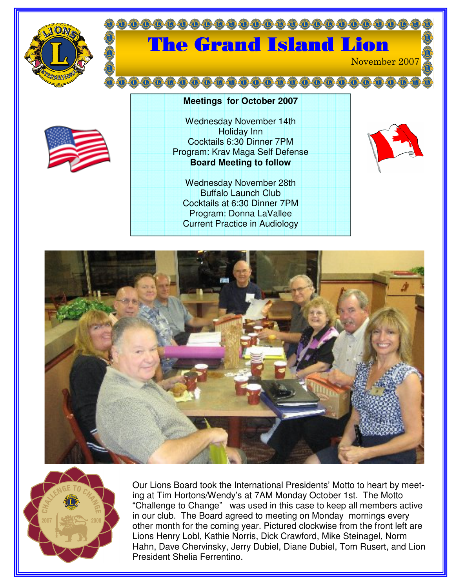

## **00000000000000** The Grand Island Lion November 2007

Wednesday November 14th Holiday Inn Cocktails 6:30 Dinner 7PM Program: Krav Maga Self Defense **Board Meeting to follow**

**Meetings for October 2007**

Wednesday November 28th Buffalo Launch Club Cocktails at 6:30 Dinner 7PM Program: Donna LaVallee Current Practice in Audiology







Our Lions Board took the International Presidents' Motto to heart by meeting at Tim Hortons/Wendy's at 7AM Monday October 1st. The Motto "Challenge to Change" was used in this case to keep all members active in our club. The Board agreed to meeting on Monday mornings every other month for the coming year. Pictured clockwise from the front left are Lions Henry Lobl, Kathie Norris, Dick Crawford, Mike Steinagel, Norm Hahn, Dave Chervinsky, Jerry Dubiel, Diane Dubiel, Tom Rusert, and Lion President Shelia Ferrentino.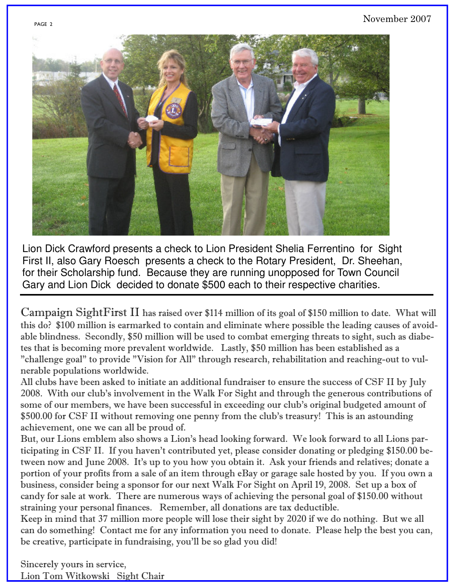

Lion Dick Crawford presents a check to Lion President Shelia Ferrentino for Sight First II, also Gary Roesch presents a check to the Rotary President, Dr. Sheehan, for their Scholarship fund. Because they are running unopposed for Town Council Gary and Lion Dick decided to donate \$500 each to their respective charities.

Campaign SightFirst II has raised over \$114 million of its goal of \$150 million to date. What will this do? \$100 million is earmarked to contain and eliminate where possible the leading causes of avoidable blindness. Secondly, \$50 million will be used to combat emerging threats to sight, such as diabetes that is becoming more prevalent worldwide. Lastly, \$50 million has been established as a "challenge goal" to provide "Vision for All" through research, rehabilitation and reaching-out to vulnerable populations worldwide.

All clubs have been asked to initiate an additional fundraiser to ensure the success of CSF II by July 2008. With our club's involvement in the Walk For Sight and through the generous contributions of some of our members, we have been successful in exceeding our club's original budgeted amount of \$500.00 for CSF II without removing one penny from the club's treasury! This is an astounding achievement, one we can all be proud of.

But, our Lions emblem also shows a Lion's head looking forward. We look forward to all Lions participating in CSF II. If you haven't contributed yet, please consider donating or pledging \$150.00 between now and June 2008. It's up to you how you obtain it. Ask your friends and relatives; donate a portion of your profits from a sale of an item through eBay or garage sale hosted by you. If you own a business, consider being a sponsor for our next Walk For Sight on April 19, 2008. Set up a box of candy for sale at work. There are numerous ways of achieving the personal goal of \$150.00 without straining your personal finances. Remember, all donations are tax deductible.

Keep in mind that 37 million more people will lose their sight by 2020 if we do nothing. But we all can do something! Contact me for any information you need to donate. Please help the best you can, be creative, participate in fundraising, you'll be so glad you did!

Sincerely yours in service, Lion Tom Witkowski Sight Chair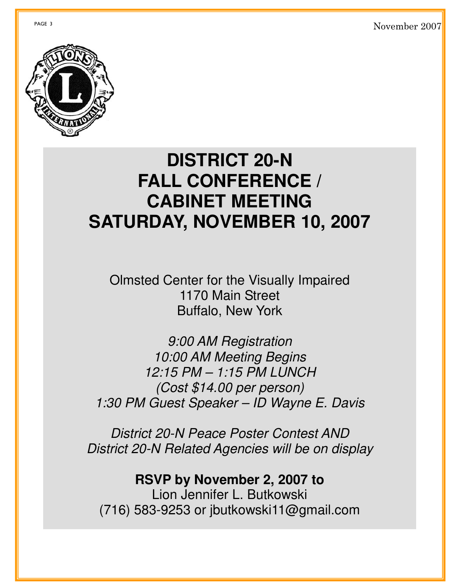GE 3  $\sim$ vember 2007



## **DISTRICT 20-N FALL CONFERENCE / CABINET MEETING SATURDAY, NOVEMBER 10, 2007**

Olmsted Center for the Visually Impaired 1170 Main Street Buffalo, New York

*9:00 AM Registration 10:00 AM Meeting Begins 12:15 PM – 1:15 PM LUNCH (Cost \$14.00 per person) 1:30 PM Guest Speaker – ID Wayne E. Davis*

*District 20-N Peace Poster Contest AND District 20-N Related Agencies will be on display*

**RSVP by November 2, 2007 to** Lion Jennifer L. Butkowski (716) 583-9253 or jbutkowski11@gmail.com